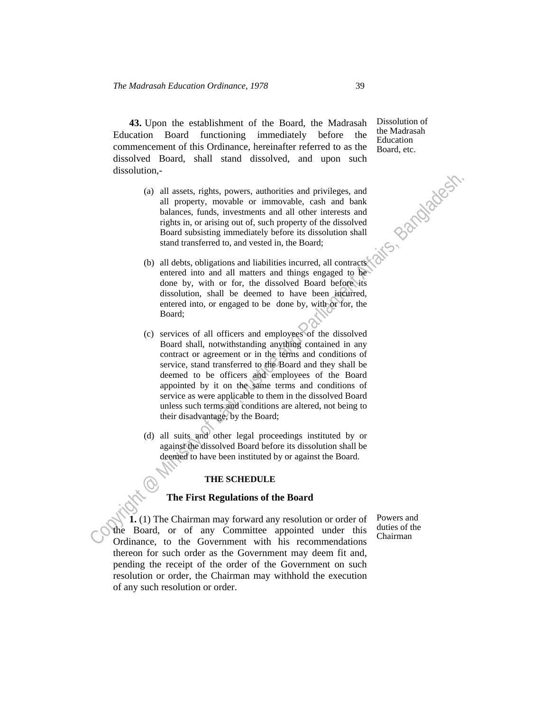**43.** Upon the establishment of the Board, the Madrasah Education Board functioning immediately before the commencement of this Ordinance, hereinafter referred to as the dissolved Board, shall stand dissolved, and upon such dissolution,-

- (a) all assets, rights, powers, authorities and privileges, and all property, movable or immovable, cash and bank balances, funds, investments and all other interests and rights in, or arising out of, such property of the dissolved Board subsisting immediately before its dissolution shall stand transferred to, and vested in, the Board;
- (b) all debts, obligations and liabilities incurred, all contracts entered into and all matters and things engaged to be done by, with or for, the dissolved Board before its dissolution, shall be deemed to have been incurred, entered into, or engaged to be done by, with or for, the Board;
- Consideration and and privileges, and all property, movable or immovable, cash and bank balances, timuls, investments and all other interests and all consideration of Lagitus in, or arising murdial property of the dissolv (c) services of all officers and employees of the dissolved Board shall, notwithstanding anything contained in any contract or agreement or in the terms and conditions of service, stand transferred to the Board and they shall be deemed to be officers and employees of the Board appointed by it on the same terms and conditions of service as were applicable to them in the dissolved Board unless such terms and conditions are altered, not being to their disadvantage, by the Board;
	- (d) all suits and other legal proceedings instituted by or against the dissolved Board before its dissolution shall be deemed to have been instituted by or against the Board.

## **THE SCHEDULE**

## **The First Regulations of the Board**

 **1.** (1) The Chairman may forward any resolution or order of the Board, or of any Committee appointed under this Ordinance, to the Government with his recommendations thereon for such order as the Government may deem fit and, pending the receipt of the order of the Government on such resolution or order, the Chairman may withhold the execution of any such resolution or order.

Dissolution of the Madrasah Education Board, etc.

Powers and duties of the Chairman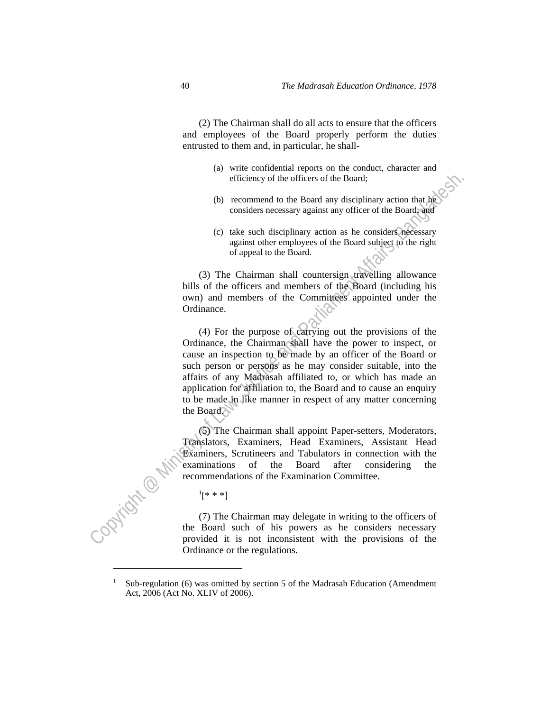(2) The Chairman shall do all acts to ensure that the officers and employees of the Board properly perform the duties entrusted to them and, in particular, he shall-

- (a) write confidential reports on the conduct, character and efficiency of the officers of the Board;
- (b) recommend to the Board any disciplinary action that he considers necessary against any officer of the Board; and
- (c) take such disciplinary action as he considers necessary against other employees of the Board subject to the right of appeal to the Board.

 (3) The Chairman shall countersign travelling allowance bills of the officers and members of the Board (including his own) and members of the Committees appointed under the Ordinance.

efficiency of the officers of the Board;<br>
(b) recommend to the Roard any disciplinary action that here<br>
considers necessary against only officer of the Boundary section<br>
(c) take such disciplinary actions are considered a (4) For the purpose of carrying out the provisions of the Ordinance, the Chairman shall have the power to inspect, or cause an inspection to be made by an officer of the Board or such person or persons' as he may consider suitable, into the affairs of any Madrasah affiliated to, or which has made an application for affiliation to, the Board and to cause an enquiry to be made in like manner in respect of any matter concerning the Board.

 (5) The Chairman shall appoint Paper-setters, Moderators, Translators, Examiners, Head Examiners, Assistant Head Examiners, Scrutineers and Tabulators in connection with the examinations of the Board after considering the recommendations of the Examination Committee.

 $\sim$   $\sim$   $\sim$   $\sim$   $\sim$  $^{1}[* * *]$ 

> (7) The Chairman may delegate in writing to the officers of the Board such of his powers as he considers necessary provided it is not inconsistent with the provisions of the Ordinance or the regulations.

<sup>1</sup> Sub-regulation (6) was omitted by section 5 of the Madrasah Education (Amendment Act, 2006 (Act No. XLIV of 2006).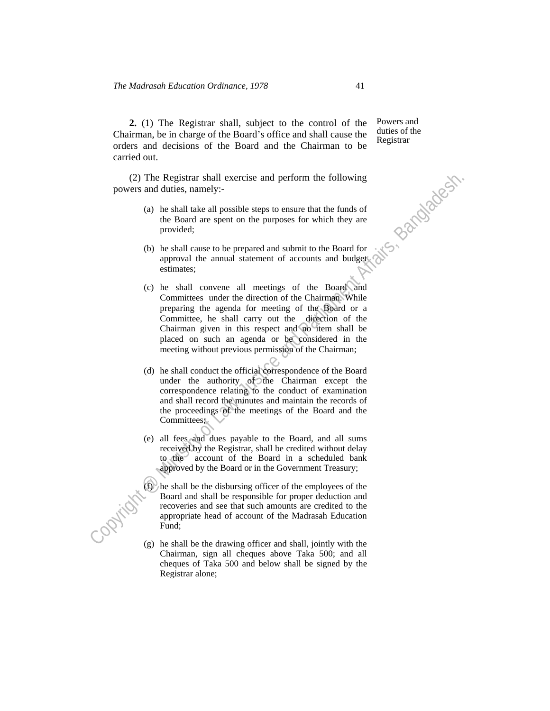**2.** (1) The Registrar shall, subject to the control of the Chairman, be in charge of the Board's office and shall cause the orders and decisions of the Board and the Chairman to be carried out.

 (2) The Registrar shall exercise and perform the following powers and duties, namely:-

- (a) he shall take all possible steps to ensure that the funds of the Board are spent on the purposes for which they are provided;
- (b) he shall cause to be prepared and submit to the Board for approval the annual statement of accounts and budget estimates;
- (2) The Registrar shall exercise and perform the following<br>powers and duties, namely-<br>powers and duties, anely-<br>the Board are spent on the purposes for which they are<br>provided;<br>(b) he shall cause to be prepared and submit (c) he shall convene all meetings of the Board and Committees under the direction of the Chairman. While preparing the agenda for meeting of the Board or a Committee, he shall carry out the direction of the Chairman given in this respect and no item shall be placed on such an agenda or be considered in the meeting without previous permission of the Chairman;
	- (d) he shall conduct the official correspondence of the Board under the authority of the Chairman except the correspondence relating to the conduct of examination and shall record the minutes and maintain the records of the proceedings of the meetings of the Board and the Committees;
	- (e) all fees and dues payable to the Board, and all sums received by the Registrar, shall be credited without delay to the account of the Board in a scheduled bank approved by the Board or in the Government Treasury;
	- $(f)$  he shall be the disbursing officer of the employees of the Board and shall be responsible for proper deduction and recoveries and see that such amounts are credited to the appropriate head of account of the Madrasah Education Fund;
	- (g) he shall be the drawing officer and shall, jointly with the Chairman, sign all cheques above Taka 500; and all cheques of Taka 500 and below shall be signed by the Registrar alone;

Powers and duties of the Registrar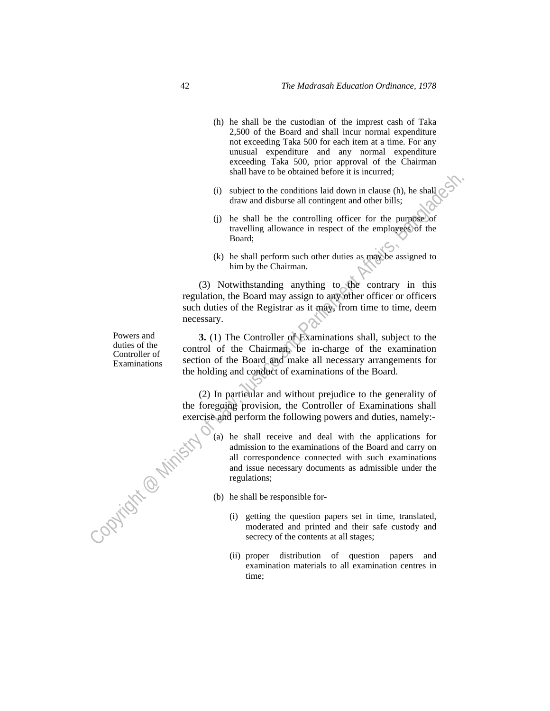- (h) he shall be the custodian of the imprest cash of Taka 2,500 of the Board and shall incur normal expenditure not exceeding Taka 500 for each item at a time. For any unusual expenditure and any normal expenditure exceeding Taka 500, prior approval of the Chairman shall have to be obtained before it is incurred;
- (i) subject to the conditions laid down in clause (h), he shall draw and disburse all contingent and other bills;
- (j) he shall be the controlling officer for the purpose of travelling allowance in respect of the employees of the Board;
- (k) he shall perform such other duties as may be assigned to him by the Chairman.

 (3) Notwithstanding anything to the contrary in this regulation, the Board may assign to any other officer or officers such duties of the Registrar as it may, from time to time, deem necessary.

 **3.** (1) The Controller of Examinations shall, subject to the control of the Chairman, be in-charge of the examination section of the Board and make all necessary arrangements for the holding and conduct of examinations of the Board.

 (2) In particular and without prejudice to the generality of the foregoing provision, the Controller of Examinations shall exercise and perform the following powers and duties, namely: opyright @ Minist

Solution the control of the band distinguished to the control of the small be the controlling of ficer for the purpless of the small be the controlling of ficer for the purpless of the matter of the controlling allowance (a) he shall receive and deal with the applications for admission to the examinations of the Board and carry on all correspondence connected with such examinations and issue necessary documents as admissible under the regulations;

- (b) he shall be responsible for-
	- (i) getting the question papers set in time, translated, moderated and printed and their safe custody and secrecy of the contents at all stages;
	- (ii) proper distribution of question papers and examination materials to all examination centres in time;

Powers and duties of the Controller of Examinations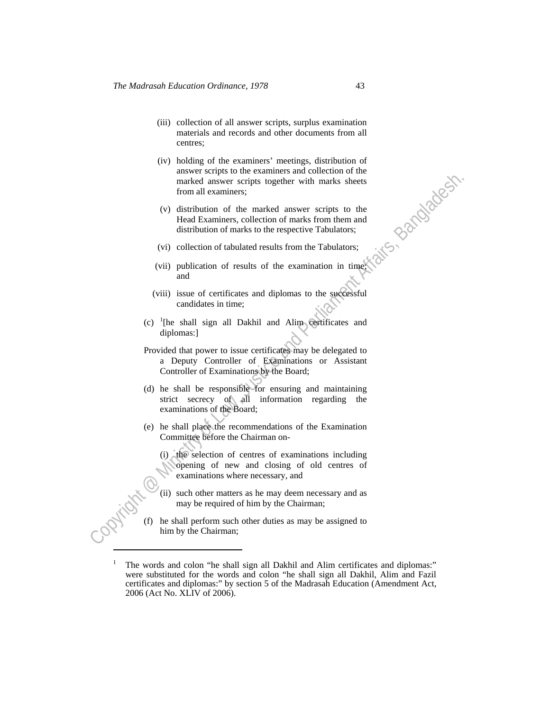- (iii) collection of all answer scripts, surplus examination materials and records and other documents from all centres;
- (iv) holding of the examiners' meetings, distribution of answer scripts to the examiners and collection of the marked answer scripts together with marks sheets from all examiners;
- (v) distribution of the marked answer scripts to the Head Examiners, collection of marks from them and distribution of marks to the respective Tabulators;
- (vi) collection of tabulated results from the Tabulators;
- (vii) publication of results of the examination in time; and
- (viii) issue of certificates and diplomas to the successful candidates in time;
- (c) <sup>1</sup> [he shall sign all Dakhil and Alim certificates and diplomas:]
- marked answer scripts together with marks sheets<br>
from all examiners;<br>
(v) distribution of the marked answer scripts to the<br>
Head Examiners, collection of marks from them and<br>
distribution of the header examples in the ma Provided that power to issue certificates may be delegated to a Deputy Controller of Examinations or Assistant Controller of Examinations by the Board;
	- (d) he shall be responsible for ensuring and maintaining strict secrecy of all information regarding the examinations of the Board;
	- (e) he shall place the recommendations of the Examination Committee before the Chairman on-
		- (i) the selection of centres of examinations including opening of new and closing of old centres of examinations where necessary, and
		- (ii) such other matters as he may deem necessary and as may be required of him by the Chairman;
	- (f) he shall perform such other duties as may be assigned to him by the Chairman;

<sup>&</sup>lt;sup>1</sup> The words and colon "he shall sign all Dakhil and Alim certificates and diplomas:" were substituted for the words and colon "he shall sign all Dakhil, Alim and Fazil certificates and diplomas:" by section 5 of the Madrasah Education (Amendment Act, 2006 (Act No. XLIV of 2006).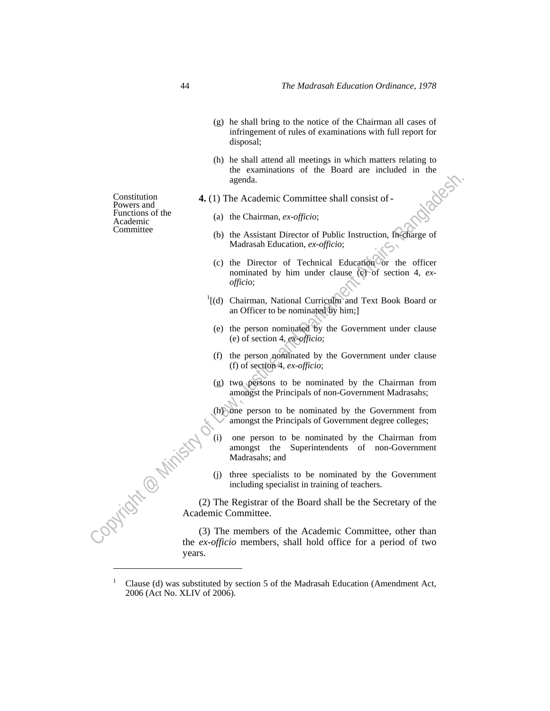- (g) he shall bring to the notice of the Chairman all cases of infringement of rules of examinations with full report for disposal;
- (h) he shall attend all meetings in which matters relating to the examinations of the Board are included in the agenda.
- **4.** (1) The Academic Committee shall consist of-
	- (a) the Chairman, *ex-officio*;
- Committee (b) the Assistant Director of Public Instruction, In-charge of Madrasah Education, *ex-officio*;
- Constitution<br>
Francison de de la Academic Committee shall consist of -<br>
Functions of the Chairman, *ex-officio*;<br>
Committee<br>
Committee<br>
(b) the Assistant Direction or *ex-officio;*<br>
(c) the Director of Technical Education (c) the Director of Technical Education or the officer nominated by him under clause (c) of section 4, *exofficio*;
	- <sup>1</sup>[(d) Chairman, National Curriculm and Text Book Board or an Officer to be nominated by him;]
	- (e) the person nominated by the Government under clause (e) of section 4, *ex-officio*;
	- (f) the person nominated by the Government under clause (f) of section 4, *ex-officio*;
	- (g) two persons to be nominated by the Chairman from amongst the Principals of non-Government Madrasahs;
	- (h) one person to be nominated by the Government from amongst the Principals of Government degree colleges;
	- one person to be nominated by the Chairman from amongst the Superintendents of non-Government Madrasahs; and (2) The Registrar of the Board shall be the Secretary of the Academic Committee.
		- (j) three specialists to be nominated by the Government including specialist in training of teachers.

Academic Committee.

 (3) The members of the Academic Committee, other than the *ex-officio* members, shall hold office for a period of two years.

Constitution Powers and Functions of the Academic

<sup>1</sup> Clause (d) was substituted by section 5 of the Madrasah Education (Amendment Act, 2006 (Act No. XLIV of 2006).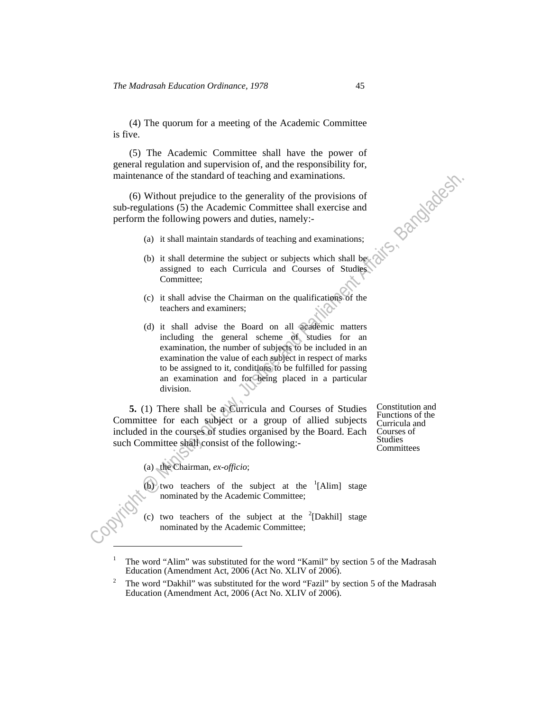(4) The quorum for a meeting of the Academic Committee is five.

 (5) The Academic Committee shall have the power of general regulation and supervision of, and the responsibility for, maintenance of the standard of teaching and examinations.

 (6) Without prejudice to the generality of the provisions of sub-regulations (5) the Academic Committee shall exercise and perform the following powers and duties, namely:-

- (a) it shall maintain standards of teaching and examinations;
- (b) it shall determine the subject or subjects which shall be assigned to each Curricula and Courses of Studies Committee;
- (c) it shall advise the Chairman on the qualifications of the teachers and examiners;
- maintenance of the standard of teaching and examinations.<br>
(6) Without prejudice to the generality of the provisions of<br>
sub-regulations (5) the Academic Committee shall exercise and<br>
perform the following powers and duti (d) it shall advise the Board on all academic matters including the general scheme of studies for an examination, the number of subjects to be included in an examination the value of each subject in respect of marks to be assigned to it, conditions to be fulfilled for passing an examination and for being placed in a particular division.

 **5.** (1) There shall be a Curricula and Courses of Studies Committee for each subject or a group of allied subjects included in the courses of studies organised by the Board. Each such Committee shall consist of the following:<br>
Committees

Constitution and Functions of the Curricula and Courses of Studies<br>Committees

(a) the Chairman, *ex-officio*;

(b) two teachers of the subject at the  $\frac{1}{2}$ [Alim] stage nominated by the Academic Committee;

(c) two teachers of the subject at the  $2$ [Dakhil] stage nominated by the Academic Committee;

<sup>&</sup>lt;sup>1</sup> The word "Alim" was substituted for the word "Kamil" by section 5 of the Madrasah Education (Amendment Act, 2006 (Act No. XLIV of 2006).

The word "Dakhil" was substituted for the word "Fazil" by section 5 of the Madrasah Education (Amendment Act, 2006 (Act No. XLIV of 2006).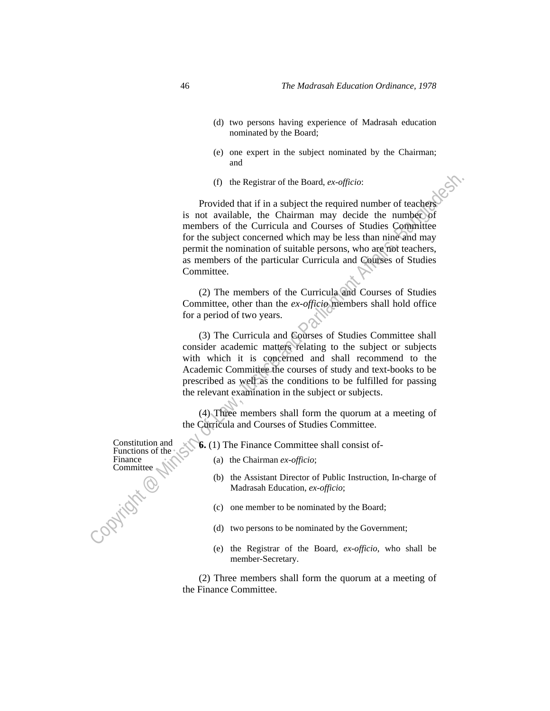- (d) two persons having experience of Madrasah education nominated by the Board;
- (e) one expert in the subject nominated by the Chairman; and
- (f) the Registrar of the Board, *ex-officio*:

(f) the Registrar of the Board, ex-officior.<br>
Provided that if in a subject the required number of teachers<br>
is not available, the Chariman may decide the number<br>
of members of the Curricula and Courses of Studies Committ Provided that if in a subject the required number of teachers is not available, the Chairman may decide the number of members of the Curricula and Courses of Studies Committee for the subject concerned which may be less than nine and may permit the nomination of suitable persons, who are not teachers, as members of the particular Curricula and Courses of Studies Committee.

 (2) The members of the Curricula and Courses of Studies Committee, other than the *ex-officio* members shall hold office for a period of two years.

 (3) The Curricula and Courses of Studies Committee shall consider academic matters relating to the subject or subjects with which it is concerned and shall recommend to the Academic Committee the courses of study and text-books to be prescribed as well as the conditions to be fulfilled for passing the relevant examination in the subject or subjects.

 (4) Three members shall form the quorum at a meeting of the Curricula and Courses of Studies Committee.

 **6.** (1) The Finance Committee shall consist of-

- (a) the Chairman *ex-officio*;
- (b) the Assistant Director of Public Instruction, In-charge of Madrasah Education, *ex-officio*;
- (c) one member to be nominated by the Board;
- (d) two persons to be nominated by the Government;
- (e) the Registrar of the Board, *ex-officio*, who shall be member-Secretary.

 (2) Three members shall form the quorum at a meeting of the Finance Committee.

Constitution and Functions of the Finance Committee

j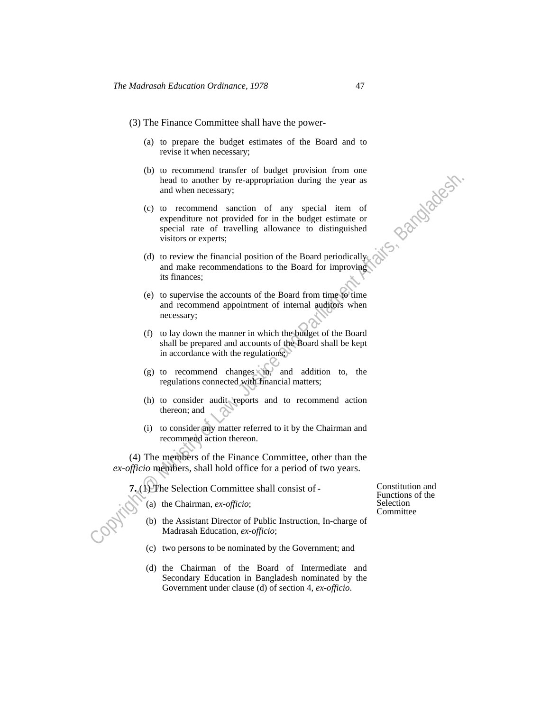- (3) The Finance Committee shall have the power-
	- (a) to prepare the budget estimates of the Board and to revise it when necessary;
	- (b) to recommend transfer of budget provision from one head to another by re-appropriation during the year as and when necessary;
- bead to another by re-appropriation during the year as<br>
und when necessary;<br>
(c) to recommend scation of any special item of<br>
sepecial rate of travelling allowance to dissinguished<br>
visitors or experts:<br>
(d) to review the (c) to recommend sanction of any special item of expenditure not provided for in the budget estimate or special rate of travelling allowance to distinguished visitors or experts;
	- (d) to review the financial position of the Board periodically and make recommendations to the Board for improving its finances;
	- (e) to supervise the accounts of the Board from time to time and recommend appointment of internal auditors when necessary;
	- (f) to lay down the manner in which the budget of the Board shall be prepared and accounts of the Board shall be kept in accordance with the regulations;
	- $(g)$  to recommend changes in, and addition to, the regulations connected with financial matters;
	- (h) to consider audit reports and to recommend action thereon; and
	- (i) to consider any matter referred to it by the Chairman and recommend action thereon.

 (4) The members of the Finance Committee, other than the *ex-officio* members, shall hold office for a period of two years.

 **7.** (1) The Selection Committee shall consist of-

(a) the Chairman, *ex-officio*;

- (b) the Assistant Director of Public Instruction, In-charge of Madrasah Education, *ex-officio*;
- (c) two persons to be nominated by the Government; and
- (d) the Chairman of the Board of Intermediate and Secondary Education in Bangladesh nominated by the Government under clause (d) of section 4, *ex-officio*.

Constitution and Functions of the Selection **Committee**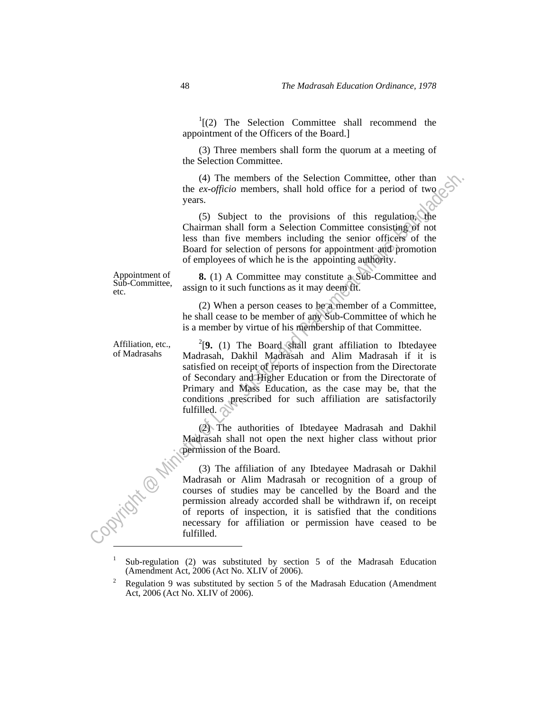$I(2)$  The Selection Committee shall recommend the appointment of the Officers of the Board.]

 (3) Three members shall form the quorum at a meeting of the Selection Committee.

 (4) The members of the Selection Committee, other than the *ex-officio* members, shall hold office for a period of two years.

 (5) Subject to the provisions of this regulation, the Chairman shall form a Selection Committee consisting of not less than five members including the senior officers of the Board for selection of persons for appointment and promotion of employees of which he is the appointing authority.

Appointment of Sub-Committee, etc.

Affiliation, etc., of Madrasahs

 **8.** (1) A Committee may constitute a Sub-Committee and assign to it such functions as it may deem fit.

 (2) When a person ceases to be a member of a Committee, he shall cease to be member of any Sub-Committee of which he is a member by virtue of his membership of that Committee.

 $2$ <sup>2</sup>[9. (1) The Board shall grant affiliation to Ibtedayee Madrasah, Dakhil Madrasah and Alim Madrasah if it is satisfied on receipt of reports of inspection from the Directorate of Secondary and Higher Education or from the Directorate of Primary and Mass Education, as the case may be, that the conditions prescribed for such affiliation are satisfactorily fulfilled.  $\Diamond$ 

 (2) The authorities of Ibtedayee Madrasah and Dakhil Madrasah shall not open the next higher class without prior permission of the Board.

(4) The members of the Selection Committee, other than the ex-officio members, shall hold office for a period of two years.<br>
Cost the proposition and form a Selection Committee consisting of not less than five members inc (3) The affiliation of any Ibtedayee Madrasah or Dakhil Madrasah or Alim Madrasah or recognition of a group of courses of studies may be cancelled by the Board and the permission already accorded shall be withdrawn if, on receipt of reports of inspection, it is satisfied that the conditions necessary for affiliation or permission have ceased to be fulfilled.

<sup>1</sup> Sub-regulation (2) was substituted by section 5 of the Madrasah Education (Amendment Act, 2006 (Act No. XLIV of 2006). 2

Regulation 9 was substituted by section 5 of the Madrasah Education (Amendment Act, 2006 (Act No. XLIV of 2006).